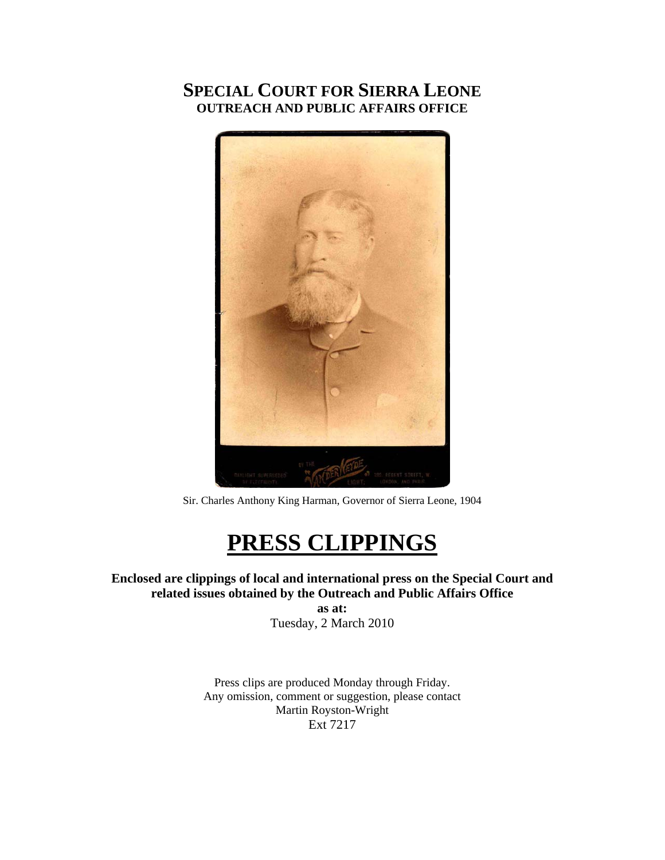# **SPECIAL COURT FOR SIERRA LEONE OUTREACH AND PUBLIC AFFAIRS OFFICE**



Sir. Charles Anthony King Harman, Governor of Sierra Leone, 1904

# **PRESS CLIPPINGS**

## **Enclosed are clippings of local and international press on the Special Court and related issues obtained by the Outreach and Public Affairs Office**

**as at:**  Tuesday, 2 March 2010

Press clips are produced Monday through Friday. Any omission, comment or suggestion, please contact Martin Royston-Wright Ext 7217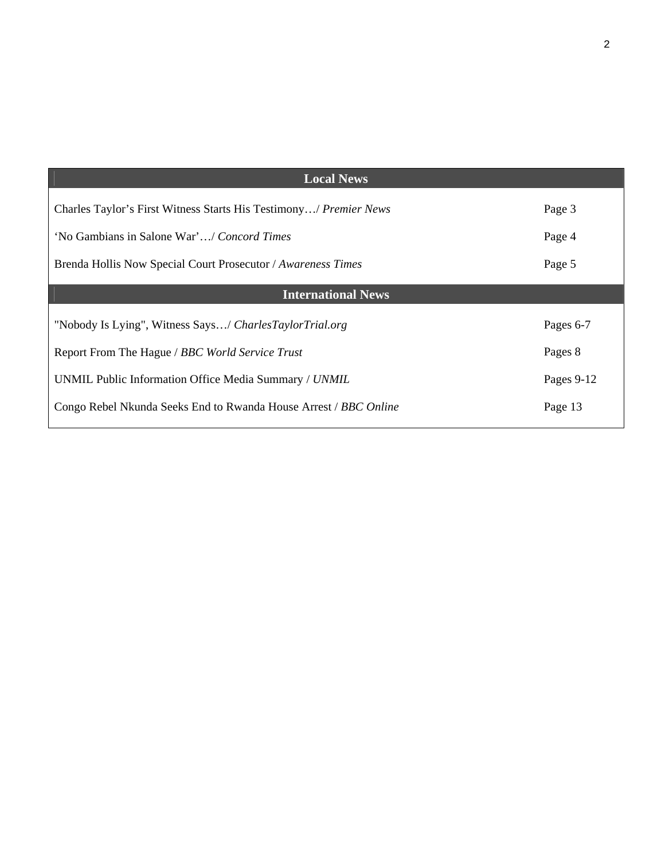| <b>Local News</b>                                                 |            |
|-------------------------------------------------------------------|------------|
| Charles Taylor's First Witness Starts His Testimony/ Premier News | Page 3     |
| 'No Gambians in Salone War'/ Concord Times                        | Page 4     |
| Brenda Hollis Now Special Court Prosecutor / Awareness Times      | Page 5     |
| <b>International News</b>                                         |            |
| "Nobody Is Lying", Witness Says/ CharlesTaylorTrial.org           | Pages 6-7  |
| Report From The Hague / BBC World Service Trust                   | Pages 8    |
| UNMIL Public Information Office Media Summary / UNMIL             | Pages 9-12 |
| Congo Rebel Nkunda Seeks End to Rwanda House Arrest / BBC Online  | Page 13    |
|                                                                   |            |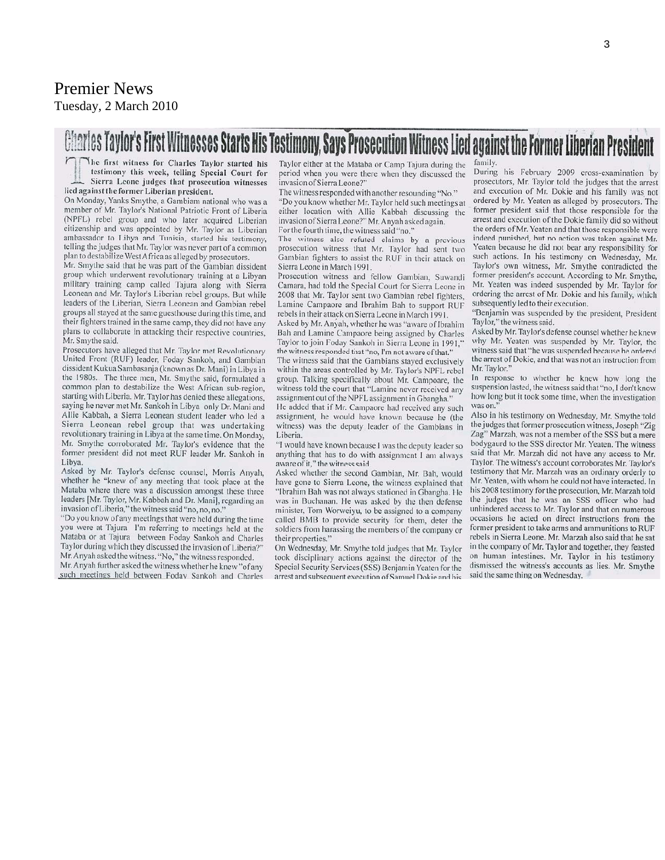### **Premier News** Tuesday, 2 March 2010

# Charles Taylor's First Witnesses Starts His Testimony, Says Prosecution Witness Lied against the Former Liberian President

The first witness for Charles Taylor started his testimony this week, telling Special Court for Sierra Leone judges that prosecution witnesses lied against the former Liberian president.

On Monday, Yanks Smythe, a Gambiam national who was a member of Mr. Taylor's National Patriotic Front of Liberia (NPFL) rebel group and who later acquired Liberian citizenship and was appointed by Mr. Taylor as Liberian ambassador to Libya and Tunisia, started his testimony, telling the judges that Mr. Taylor was never part of a common plan to destabilize West A frica as alleged by prosecutors.

Mr. Smythe said that he was part of the Gambian dissident group which underwent revolutionary training at a Libyan military training camp called Tajura along with Sierra Leonean and Mr. Taylor's Liberian rebel groups. But while leaders of the Liberian, Sierra Leonean and Gambian rebel groups all stayed at the same guesthouse during this time, and their fighters trained in the same camp, they did not have any plans to collaborate in attacking their respective countries, Mr. Smythe said.

Prosecutors have alleged that Mr. Taylor met Revolutionary United Front (RUF) leader, Foday Sankoh, and Gambian dissident Kukua Sambasanja (known as Dr. Mani) in Libya in the 1980s. The three men, Mr. Smythe said, formulated a common plan to destabilize the West African sub-region, starting with Liberia. Mr. Taylor has denied these allegations, saying he never met Mr. Sankoh in Libya only Dr. Mani and Allie Kabbah, a Sierra Leonean student leader who led a Sierra Leonean rebel group that was undertaking revolutionary training in Libya at the same time. On Monday, Mr. Smythe corroborated Mr. Taylor's evidence that the former president did not meet RUF leader Mr. Sankoh in Libya.

Asked by Mr. Taylor's defense counsel, Morris Anyah, whether he "knew of any meeting that took place at the Mataba where there was a discussion amongst these three leaders [Mr. Taylor, Mr. Kabbah and Dr. Mani], regarding an invasion of Liberia," the witness said "no, no, no."

"Do you know of any meetings that were held during the time you were at Tajura I'm referring to meetings held at the Mataba or at Tajura between Foday Sankoh and Charles Taylor during which they discussed the invasion of Liberia?" Mr. Anyah asked the witness. "No," the witness responded. Mr. Anyah further asked the witness whether he knew "of any

such meetings held between Foday Sankoh and Charles

Taylor either at the Mataba or Camp Tajura during the period when you were there when they discussed the invasion of Sierra Leone?"

The witness responded with another resounding "No." "Do you know whether Mr. Taylor held such meetings at either location with Allie Kabbah discussing the invasion of Sierra Leone?" Mr. Anyah asked again. For the fourth time, the witness said "no."

The witness also refuted claims by a previous prosecution witness that Mr. Taylor had sent two Gambian fighters to assist the RUF in their attack on Sierra Leone in March 1991.

Prosecution witness and fellow Gambian, Suwandi Camara, had told the Special Court for Sierra Leone in 2008 that Mr. Taylor sent two Gambian rebel fighters, Lamine Campaore and Ibrahim Bah to support RUF rebels in their attack on Sierra Leone in March 1991.

Asked by Mr. Anyah, whether he was "aware of Ibrahim Bah and Lamine Campaore being assigned by Charles Taylor to join Foday Sankoh in Sierra Leone in 1991,' the witness responded that "no, I'm not aware of that."

The witness said that the Gambians staved exclusively within the areas controlled by Mr. Taylor's NPFL rebel group. Talking specifically about Mr. Campoare, the witness told the court that "Lamine never received any assignment out of the NPFL assignment in Gbangha."

He added that if Mr. Campaore had received any such assignment, he would have known because he (the witness) was the deputy leader of the Gambians in Liberia.

"I would have known because I was the deputy leader so anything that has to do with assignment I am always aware of it," the witness said.

Asked whether the second Gambian, Mr. Bah, would have gone to Sierra Leone, the witness explained that "Ibrahim Bah was not always stationed in Gbangha. He was in Buchanan. He was asked by the then defense minister, Tom Worweiyu, to be assigned to a company called BMB to provide security for them, deter the soldiers from harassing the members of the company or their properties."

On Wednesday, Mr. Smythe told judges that Mr. Taylor took disciplinary actions against the director of the Special Security Services (SSS) Benjamin Yeaten for the arrest and subsequent execution of Samuel Dokie and his

family.

During his February 2009 cross-examination by prosecutors, Mr. Taylor told the judges that the arrest and execution of Mr. Dokie and his family was not ordered by Mr. Yeaten as alleged by prosecutors. The former president said that those responsible for the arrest and execution of the Dokie family did so without the orders of Mr. Yeaten and that those responsible were indeed punished, but no action was taken against Mr. Yeaten because he did not bear any responsibility for such actions. In his testimony on Wednesday, Mr. Taylor's own witness, Mr. Smythe contradicted the former president's account. According to Mr. Smythe, Mr. Yeaten was indeed suspended by Mr. Taylor for ordering the arrest of Mr. Dokie and his family, which subsequently led to their execution.

"Benjamin was suspended by the president. President Taylor," the witness said.

Asked by Mr. Taylor's defense counsel whether he knew why Mr. Yeaten was suspended by Mr. Taylor, the witness said that "he was suspended because he ordered the arrest of Dokie, and that was not an instruction from Mr. Taylor."

In response to whether he knew how long the suspension lasted, the witness said that "no, I don't know how long but it took some time, when the investigation was on.

Also in his testimony on Wednesday, Mr. Smythe told the judges that former prosecution witness, Joseph "Zig Zag" Marzah, was not a member of the SSS but a mere bodygaurd to the SSS director Mr. Yeaten. The witness said that Mr. Marzah did not have any access to Mr. Taylor. The witness's account corroborates Mr. Taylor's testimony that Mr. Marzah was an ordinary orderly to Mr. Yeaten, with whom he could not have interacted. In his 2008 testimony for the prosecution, Mr. Marzah told the judges that he was an SSS officer who had unhindered access to Mr. Taylor and that on numerous occasions he acted on direct instructions from the former president to take arms and ammunitions to RUF rebels in Sierra Leone. Mr. Marzah also said that he sat in the company of Mr. Taylor and together, they feasted on human intestines. Mr. Taylor in his testimony dismissed the witness's accounts as lies. Mr. Smythe said the same thing on Wednesday.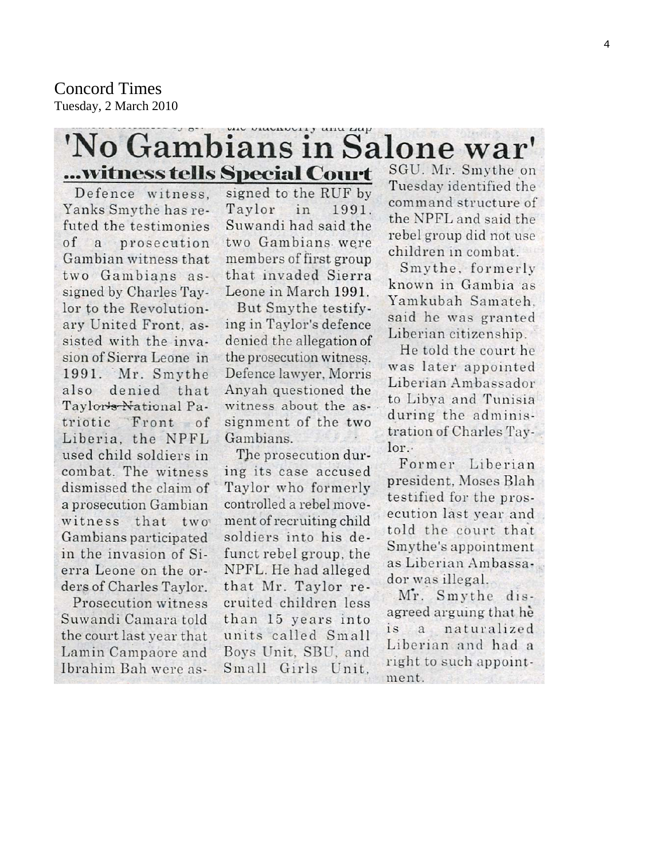**Concord Times** Tuesday, 2 March 2010

# 'No Gambians in Salone war' SGU. Mr. Smythe on ...witness tells Special Court

Defence witness. Yanks Smythe has refuted the testimonies of a prosecution Gambian witness that two Gambians assigned by Charles Taylor to the Revolutionary United Front. assisted with the invasion of Sierra Leone in 1991. Mr. Smythe also denied that Taylor's National Patriotic Front of Liberia, the NPFL used child soldiers in combat. The witness dismissed the claim of a prosecution Gambian witness that two Gambians participated in the invasion of Sierra Leone on the orders of Charles Taylor.

Prosecution witness Suwandi Camara told the court last year that Lamin Campaore and Ibrahim Bah were assigned to the RUF by Taylor in 1991. Suwandi had said the two Gambians were members of first group that invaded Sierra Leone in March 1991.

But Smythe testifying in Taylor's defence denied the allegation of the prosecution witness. Defence lawyer, Morris Anyah questioned the witness about the assignment of the two Gambians.

The prosecution during its case accused Taylor who formerly controlled a rebel movement of recruiting child soldiers into his defunct rebel group, the NPFL. He had alleged that Mr. Taylor recruited children less than 15 years into units called Small Boys Unit, SBU, and Small Girls Unit,

Tuesday identified the command structure of the NPFL and said the rebel group did not use children in combat.

Smythe, formerly known in Gambia as Yamkubah Samateh. said he was granted Liberian citizenship.

He told the court he was later appointed Liberian Ambassador to Libya and Tunisia during the administration of Charles Taylor.

Former Liberian president, Moses Blah testified for the prosecution last year and told the court that Smythe's appointment as Liberian Ambassador was illegal.

Mr. Smythe disagreed arguing that he is a naturalized Liberian and had a right to such appointment.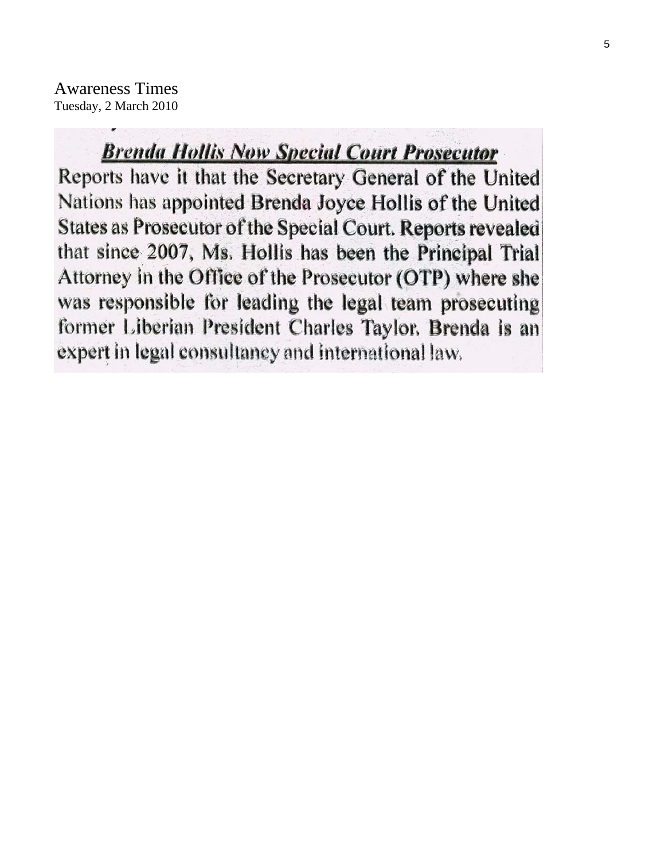Awareness Times Tuesday, 2 March 2010

# **Brenda Hollis Now Special Court Prosecutor**

Reports have it that the Secretary General of the United Nations has appointed Brenda Joyce Hollis of the United States as Prosecutor of the Special Court. Reports revealed that since 2007, Ms. Hollis has been the Principal Trial Attorney in the Office of the Prosecutor (OTP) where she was responsible for leading the legal team prosecuting former Liberian President Charles Taylor. Brenda is an expert in legal consultancy and international law.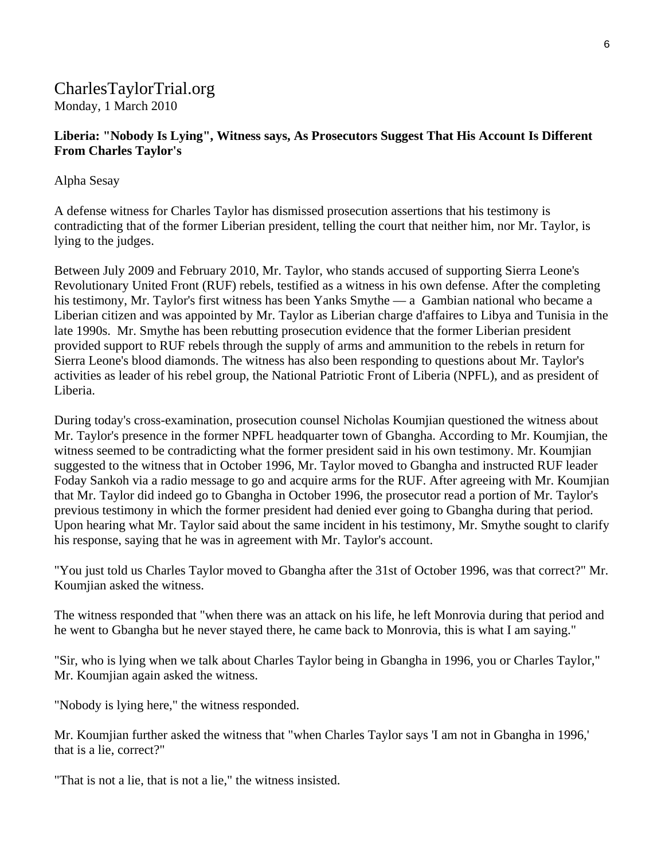## CharlesTaylorTrial.org Monday, 1 March 2010

#### **Liberia: "Nobody Is Lying", Witness says, As Prosecutors Suggest That His Account Is Different From Charles Taylor's**

Alpha Sesay

A defense witness for Charles Taylor has dismissed prosecution assertions that his testimony is contradicting that of the former Liberian president, telling the court that neither him, nor Mr. Taylor, is lying to the judges.

Between July 2009 and February 2010, Mr. Taylor, who stands accused of supporting Sierra Leone's Revolutionary United Front (RUF) rebels, testified as a witness in his own defense. After the completing his testimony, Mr. Taylor's first witness has been Yanks Smythe — a Gambian national who became a Liberian citizen and was appointed by Mr. Taylor as Liberian charge d'affaires to Libya and Tunisia in the late 1990s. Mr. Smythe has been rebutting prosecution evidence that the former Liberian president provided support to RUF rebels through the supply of arms and ammunition to the rebels in return for Sierra Leone's blood diamonds. The witness has also been responding to questions about Mr. Taylor's activities as leader of his rebel group, the National Patriotic Front of Liberia (NPFL), and as president of Liberia.

During today's cross-examination, prosecution counsel Nicholas Koumjian questioned the witness about Mr. Taylor's presence in the former NPFL headquarter town of Gbangha. According to Mr. Koumjian, the witness seemed to be contradicting what the former president said in his own testimony. Mr. Koumjian suggested to the witness that in October 1996, Mr. Taylor moved to Gbangha and instructed RUF leader Foday Sankoh via a radio message to go and acquire arms for the RUF. After agreeing with Mr. Koumjian that Mr. Taylor did indeed go to Gbangha in October 1996, the prosecutor read a portion of Mr. Taylor's previous testimony in which the former president had denied ever going to Gbangha during that period. Upon hearing what Mr. Taylor said about the same incident in his testimony, Mr. Smythe sought to clarify his response, saying that he was in agreement with Mr. Taylor's account.

"You just told us Charles Taylor moved to Gbangha after the 31st of October 1996, was that correct?" Mr. Koumjian asked the witness.

The witness responded that "when there was an attack on his life, he left Monrovia during that period and he went to Gbangha but he never stayed there, he came back to Monrovia, this is what I am saying."

"Sir, who is lying when we talk about Charles Taylor being in Gbangha in 1996, you or Charles Taylor," Mr. Koumjian again asked the witness.

"Nobody is lying here," the witness responded.

Mr. Koumjian further asked the witness that "when Charles Taylor says 'I am not in Gbangha in 1996,' that is a lie, correct?"

"That is not a lie, that is not a lie," the witness insisted.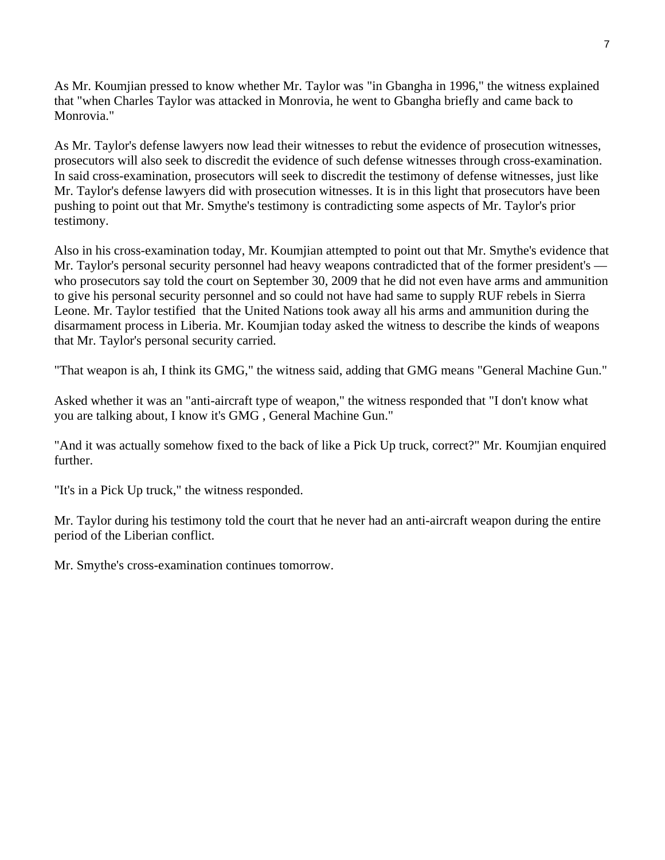As Mr. Koumjian pressed to know whether Mr. Taylor was "in Gbangha in 1996," the witness explained that "when Charles Taylor was attacked in Monrovia, he went to Gbangha briefly and came back to Monrovia."

As Mr. Taylor's defense lawyers now lead their witnesses to rebut the evidence of prosecution witnesses, prosecutors will also seek to discredit the evidence of such defense witnesses through cross-examination. In said cross-examination, prosecutors will seek to discredit the testimony of defense witnesses, just like Mr. Taylor's defense lawyers did with prosecution witnesses. It is in this light that prosecutors have been pushing to point out that Mr. Smythe's testimony is contradicting some aspects of Mr. Taylor's prior testimony.

Also in his cross-examination today, Mr. Koumjian attempted to point out that Mr. Smythe's evidence that Mr. Taylor's personal security personnel had heavy weapons contradicted that of the former president's who prosecutors say told the court on September 30, 2009 that he did not even have arms and ammunition to give his personal security personnel and so could not have had same to supply RUF rebels in Sierra Leone. Mr. Taylor testified that the United Nations took away all his arms and ammunition during the disarmament process in Liberia. Mr. Koumjian today asked the witness to describe the kinds of weapons that Mr. Taylor's personal security carried.

"That weapon is ah, I think its GMG," the witness said, adding that GMG means "General Machine Gun."

Asked whether it was an "anti-aircraft type of weapon," the witness responded that "I don't know what you are talking about, I know it's GMG , General Machine Gun."

"And it was actually somehow fixed to the back of like a Pick Up truck, correct?" Mr. Koumjian enquired further.

"It's in a Pick Up truck," the witness responded.

Mr. Taylor during his testimony told the court that he never had an anti-aircraft weapon during the entire period of the Liberian conflict.

Mr. Smythe's cross-examination continues tomorrow.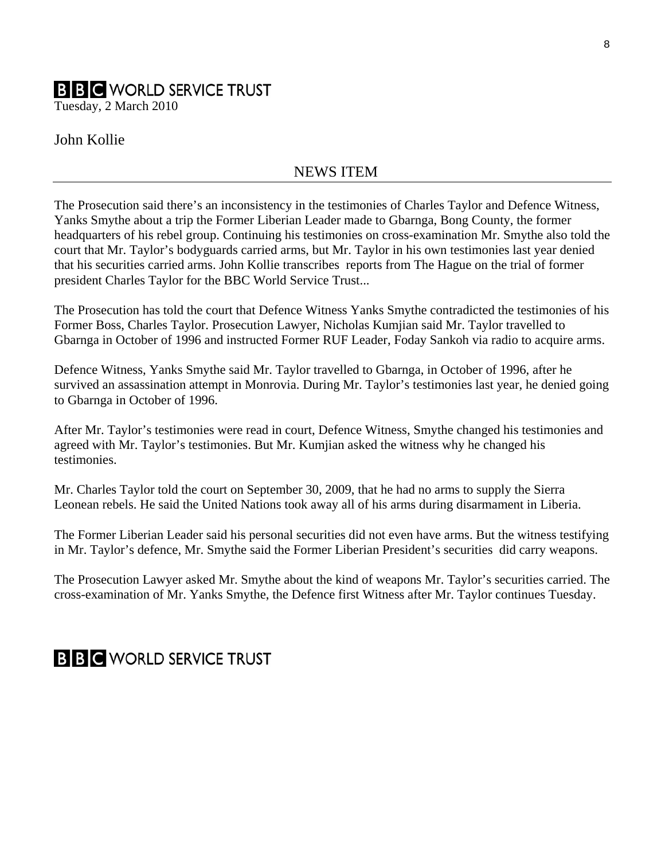# **B B C WORLD SERVICE TRUST**

Tuesday, 2 March 2010

John Kollie

# NEWS ITEM

The Prosecution said there's an inconsistency in the testimonies of Charles Taylor and Defence Witness, Yanks Smythe about a trip the Former Liberian Leader made to Gbarnga, Bong County, the former headquarters of his rebel group. Continuing his testimonies on cross-examination Mr. Smythe also told the court that Mr. Taylor's bodyguards carried arms, but Mr. Taylor in his own testimonies last year denied that his securities carried arms. John Kollie transcribes reports from The Hague on the trial of former president Charles Taylor for the BBC World Service Trust...

The Prosecution has told the court that Defence Witness Yanks Smythe contradicted the testimonies of his Former Boss, Charles Taylor. Prosecution Lawyer, Nicholas Kumjian said Mr. Taylor travelled to Gbarnga in October of 1996 and instructed Former RUF Leader, Foday Sankoh via radio to acquire arms.

Defence Witness, Yanks Smythe said Mr. Taylor travelled to Gbarnga, in October of 1996, after he survived an assassination attempt in Monrovia. During Mr. Taylor's testimonies last year, he denied going to Gbarnga in October of 1996.

After Mr. Taylor's testimonies were read in court, Defence Witness, Smythe changed his testimonies and agreed with Mr. Taylor's testimonies. But Mr. Kumjian asked the witness why he changed his testimonies.

Mr. Charles Taylor told the court on September 30, 2009, that he had no arms to supply the Sierra Leonean rebels. He said the United Nations took away all of his arms during disarmament in Liberia.

The Former Liberian Leader said his personal securities did not even have arms. But the witness testifying in Mr. Taylor's defence, Mr. Smythe said the Former Liberian President's securities did carry weapons.

The Prosecution Lawyer asked Mr. Smythe about the kind of weapons Mr. Taylor's securities carried. The cross-examination of Mr. Yanks Smythe, the Defence first Witness after Mr. Taylor continues Tuesday.

# **B B C** WORLD SERVICE TRUST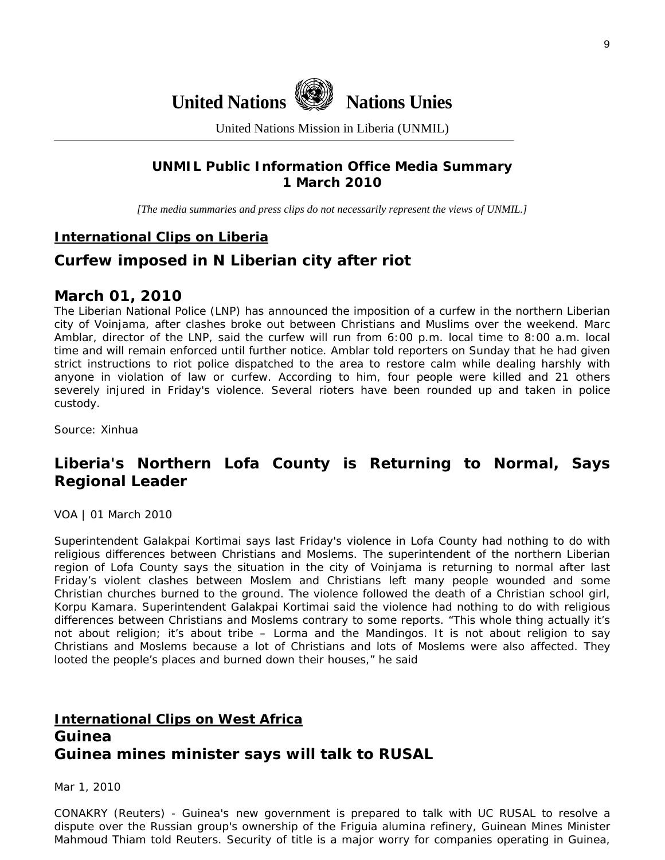

United Nations Mission in Liberia (UNMIL)

## **UNMIL Public Information Office Media Summary 1 March 2010**

*[The media summaries and press clips do not necessarily represent the views of UNMIL.]* 

### **International Clips on Liberia**

# **Curfew imposed in N Liberian city after riot**

#### **March 01, 2010**

The Liberian National Police (LNP) has announced the imposition of a curfew in the northern Liberian city of Voinjama, after clashes broke out between Christians and Muslims over the weekend. Marc Amblar, director of the LNP, said the curfew will run from 6:00 p.m. local time to 8:00 a.m. local time and will remain enforced until further notice. Amblar told reporters on Sunday that he had given strict instructions to riot police dispatched to the area to restore calm while dealing harshly with anyone in violation of law or curfew. According to him, four people were killed and 21 others severely injured in Friday's violence. Several rioters have been rounded up and taken in police custody.

Source: Xinhua

# **Liberia's Northern Lofa County is Returning to Normal, Says Regional Leader**

VOA | 01 March 2010

Superintendent Galakpai Kortimai says last Friday's violence in Lofa County had nothing to do with religious differences between Christians and Moslems. The superintendent of the northern Liberian region of Lofa County says the situation in the city of Voinjama is returning to normal after last Friday's violent clashes between Moslem and Christians left many people wounded and some Christian churches burned to the ground. The violence followed the death of a Christian school girl, Korpu Kamara. Superintendent Galakpai Kortimai said the violence had nothing to do with religious differences between Christians and Moslems contrary to some reports. "This whole thing actually it's not about religion; it's about tribe – Lorma and the Mandingos. It is not about religion to say Christians and Moslems because a lot of Christians and lots of Moslems were also affected. They looted the people's places and burned down their houses," he said

# **International Clips on West Africa Guinea Guinea mines minister says will talk to RUSAL**

Mar 1, 2010

CONAKRY (Reuters) - Guinea's new government is prepared to talk with UC RUSAL to resolve a dispute over the Russian group's ownership of the Friguia alumina refinery, Guinean Mines Minister Mahmoud Thiam told Reuters. Security of title is a major worry for companies operating in Guinea,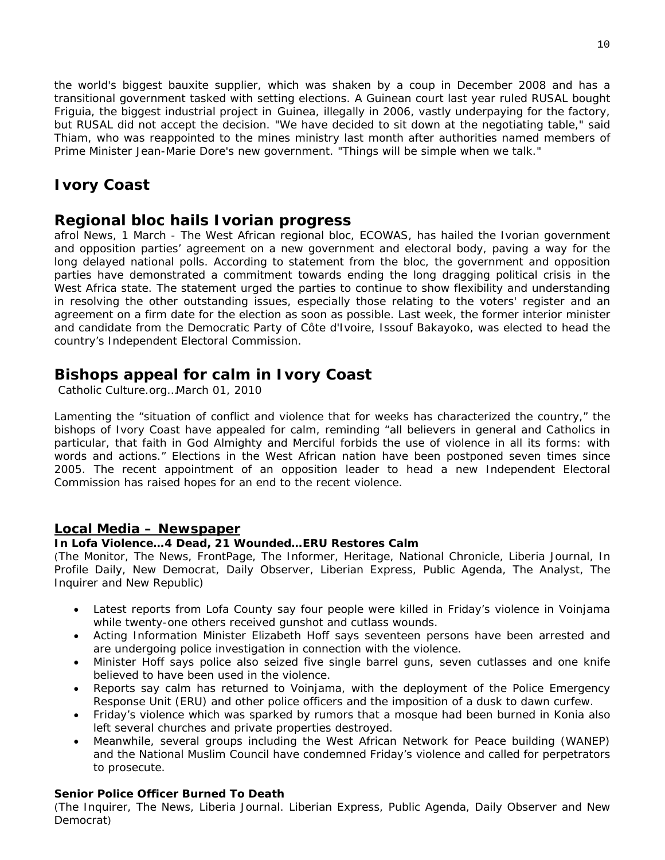the world's biggest bauxite supplier, which was shaken by a coup in December 2008 and has a transitional government tasked with setting elections. A Guinean court last year ruled RUSAL bought Friguia, the biggest industrial project in Guinea, illegally in 2006, vastly underpaying for the factory, but RUSAL did not accept the decision. "We have decided to sit down at the negotiating table," said Thiam, who was reappointed to the mines ministry last month after authorities named members of Prime Minister Jean-Marie Dore's new government. "Things will be simple when we talk."

# **Ivory Coast**

# **Regional bloc hails Ivorian progress**

afrol News, 1 March - The West African regional bloc, ECOWAS, has hailed the Ivorian government and opposition parties' agreement on a new government and electoral body, paving a way for the long delayed national polls. According to statement from the bloc, the government and opposition parties have demonstrated a commitment towards ending the long dragging political crisis in the West Africa state. The statement urged the parties to continue to show flexibility and understanding in resolving the other outstanding issues, especially those relating to the voters' register and an agreement on a firm date for the election as soon as possible. Last week, the former interior minister and candidate from the Democratic Party of Côte d'Ivoire, Issouf Bakayoko, was elected to head the country's Independent Electoral Commission.

# **Bishops appeal for calm in Ivory Coast**

Catholic Culture.org…March 01, 2010

Lamenting the "situation of conflict and violence that for weeks has characterized the country," the bishops of Ivory Coast have appealed for calm, reminding "all believers in general and Catholics in particular, that faith in God Almighty and Merciful forbids the use of violence in all its forms: with words and actions." Elections in the West African nation have been postponed seven times since 2005. The recent appointment of an opposition leader to head a new Independent Electoral Commission has raised hopes for an end to the recent violence.

#### **Local Media – Newspaper**

#### **In Lofa Violence…4 Dead, 21 Wounded…ERU Restores Calm**

(The Monitor, The News, FrontPage, The Informer, Heritage, National Chronicle, Liberia Journal, In Profile Daily, New Democrat, Daily Observer, Liberian Express, Public Agenda, The Analyst, The Inquirer and New Republic)

- Latest reports from Lofa County say four people were killed in Friday's violence in Voinjama while twenty-one others received gunshot and cutlass wounds.
- Acting Information Minister Elizabeth Hoff says seventeen persons have been arrested and are undergoing police investigation in connection with the violence.
- Minister Hoff says police also seized five single barrel guns, seven cutlasses and one knife believed to have been used in the violence.
- Reports say calm has returned to Voinjama, with the deployment of the Police Emergency Response Unit (ERU) and other police officers and the imposition of a dusk to dawn curfew.
- Friday's violence which was sparked by rumors that a mosque had been burned in Konia also left several churches and private properties destroyed.
- Meanwhile, several groups including the West African Network for Peace building (WANEP) and the National Muslim Council have condemned Friday's violence and called for perpetrators to prosecute.

#### **Senior Police Officer Burned To Death**

(The Inquirer, The News, Liberia Journal. Liberian Express, Public Agenda, Daily Observer and New Democrat)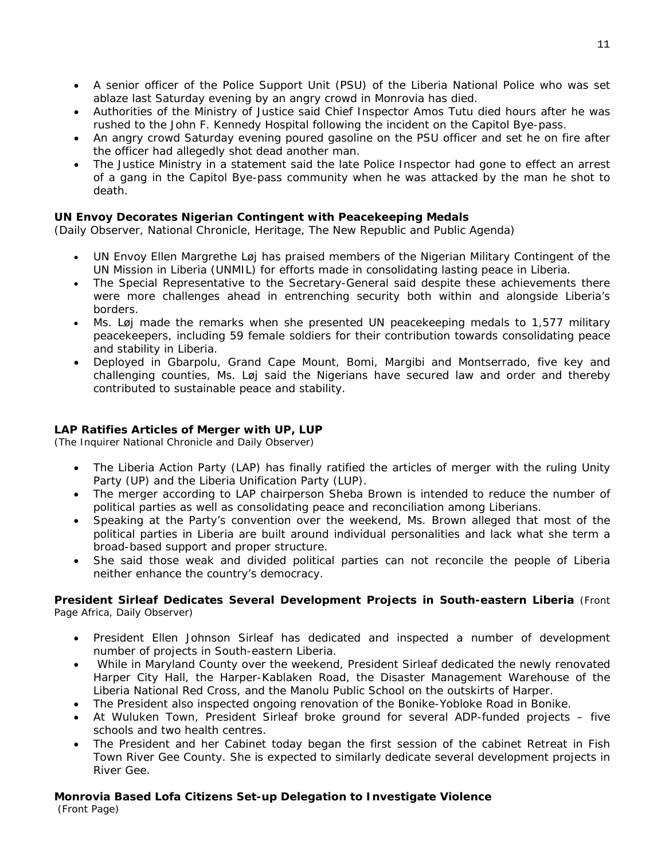- A senior officer of the Police Support Unit (PSU) of the Liberia National Police who was set ablaze last Saturday evening by an angry crowd in Monrovia has died.
- Authorities of the Ministry of Justice said Chief Inspector Amos Tutu died hours after he was rushed to the John F. Kennedy Hospital following the incident on the Capitol Bye-pass.
- An angry crowd Saturday evening poured gasoline on the PSU officer and set he on fire after the officer had allegedly shot dead another man.
- The Justice Ministry in a statement said the late Police Inspector had gone to effect an arrest of a gang in the Capitol Bye-pass community when he was attacked by the man he shot to death.

#### **UN Envoy Decorates Nigerian Contingent with Peacekeeping Medals**

(Daily Observer, National Chronicle, Heritage, The New Republic and Public Agenda)

- UN Envoy Ellen Margrethe Løj has praised members of the Nigerian Military Contingent of the UN Mission in Liberia (UNMIL) for efforts made in consolidating lasting peace in Liberia.
- The Special Representative to the Secretary-General said despite these achievements there were more challenges ahead in entrenching security both within and alongside Liberia's borders.
- Ms. Løj made the remarks when she presented UN peacekeeping medals to 1,577 military peacekeepers, including 59 female soldiers for their contribution towards consolidating peace and stability in Liberia.
- Deployed in Gbarpolu, Grand Cape Mount, Bomi, Margibi and Montserrado, five key and challenging counties, Ms. Løj said the Nigerians have secured law and order and thereby contributed to sustainable peace and stability.

#### **LAP Ratifies Articles of Merger with UP, LUP**

(The Inquirer National Chronicle and Daily Observer)

- The Liberia Action Party (LAP) has finally ratified the articles of merger with the ruling Unity Party (UP) and the Liberia Unification Party (LUP).
- The merger according to LAP chairperson Sheba Brown is intended to reduce the number of political parties as well as consolidating peace and reconciliation among Liberians.
- Speaking at the Party's convention over the weekend, Ms. Brown alleged that most of the political parties in Liberia are built around individual personalities and lack what she term a broad-based support and proper structure.
- She said those weak and divided political parties can not reconcile the people of Liberia neither enhance the country's democracy.

#### **President Sirleaf Dedicates Several Development Projects in South-eastern Liberia** (Front Page Africa, Daily Observer)

- President Ellen Johnson Sirleaf has dedicated and inspected a number of development number of projects in South-eastern Liberia.
- While in Maryland County over the weekend, President Sirleaf dedicated the newly renovated Harper City Hall, the Harper-Kablaken Road, the Disaster Management Warehouse of the Liberia National Red Cross, and the Manolu Public School on the outskirts of Harper.
- The President also inspected ongoing renovation of the Bonike-Yobloke Road in Bonike.
- At Wuluken Town, President Sirleaf broke ground for several ADP-funded projects five schools and two health centres.
- The President and her Cabinet today began the first session of the cabinet Retreat in Fish Town River Gee County. She is expected to similarly dedicate several development projects in River Gee.

# **Monrovia Based Lofa Citizens Set-up Delegation to Investigate Violence**

(Front Page)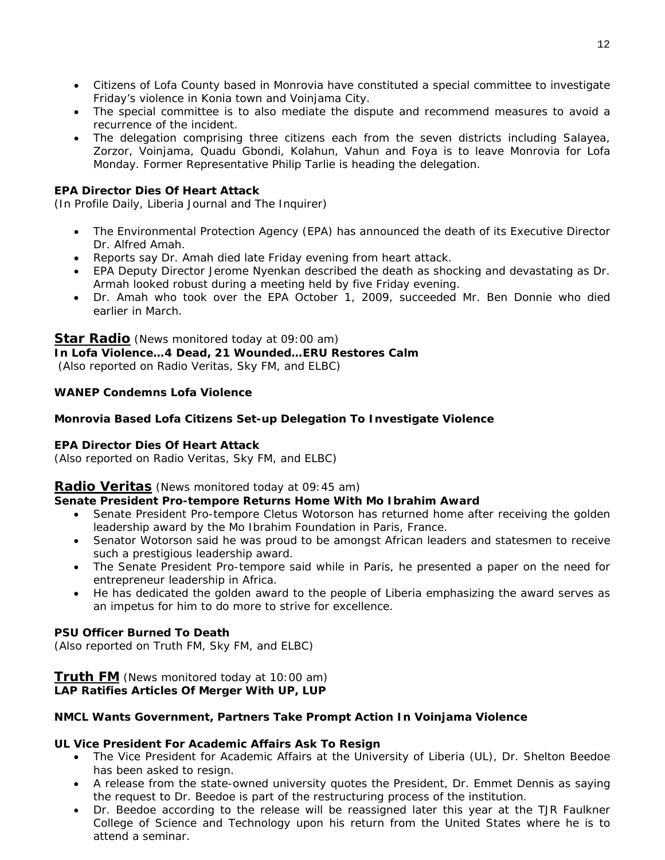- Citizens of Lofa County based in Monrovia have constituted a special committee to investigate Friday's violence in Konia town and Voinjama City.
- The special committee is to also mediate the dispute and recommend measures to avoid a recurrence of the incident.
- The delegation comprising three citizens each from the seven districts including Salayea, Zorzor, Voinjama, Quadu Gbondi, Kolahun, Vahun and Foya is to leave Monrovia for Lofa Monday. Former Representative Philip Tarlie is heading the delegation.

#### **EPA Director Dies Of Heart Attack**

(In Profile Daily, Liberia Journal and The Inquirer)

- The Environmental Protection Agency (EPA) has announced the death of its Executive Director Dr. Alfred Amah.
- Reports say Dr. Amah died late Friday evening from heart attack.
- EPA Deputy Director Jerome Nyenkan described the death as shocking and devastating as Dr. Armah looked robust during a meeting held by five Friday evening.
- Dr. Amah who took over the EPA October 1, 2009, succeeded Mr. Ben Donnie who died earlier in March.

#### **Star Radio** *(News monitored today at 09:00 am)*

**In Lofa Violence…4 Dead, 21 Wounded…ERU Restores Calm** 

 *(Also reported on Radio Veritas, Sky FM, and ELBC)*

#### **WANEP Condemns Lofa Violence**

#### **Monrovia Based Lofa Citizens Set-up Delegation To Investigate Violence**

#### **EPA Director Dies Of Heart Attack**

*(Also reported on Radio Veritas, Sky FM, and ELBC)*

#### **Radio Veritas** *(News monitored today at 09:45 am)*

#### **Senate President Pro-tempore Returns Home With Mo Ibrahim Award**

- Senate President Pro-tempore Cletus Wotorson has returned home after receiving the golden leadership award by the Mo Ibrahim Foundation in Paris, France.
- Senator Wotorson said he was proud to be amongst African leaders and statesmen to receive such a prestigious leadership award.
- The Senate President Pro-tempore said while in Paris, he presented a paper on the need for entrepreneur leadership in Africa.
- He has dedicated the golden award to the people of Liberia emphasizing the award serves as an impetus for him to do more to strive for excellence.

#### **PSU Officer Burned To Death**

*(Also reported on Truth FM, Sky FM, and ELBC)*

#### **Truth FM** *(News monitored today at 10:00 am)* **LAP Ratifies Articles Of Merger With UP, LUP**

#### **NMCL Wants Government, Partners Take Prompt Action In Voinjama Violence**

#### **UL Vice President For Academic Affairs Ask To Resign**

- The Vice President for Academic Affairs at the University of Liberia (UL), Dr. Shelton Beedoe has been asked to resign.
- A release from the state-owned university quotes the President, Dr. Emmet Dennis as saying the request to Dr. Beedoe is part of the restructuring process of the institution.
- Dr. Beedoe according to the release will be reassigned later this year at the TJR Faulkner College of Science and Technology upon his return from the United States where he is to attend a seminar.